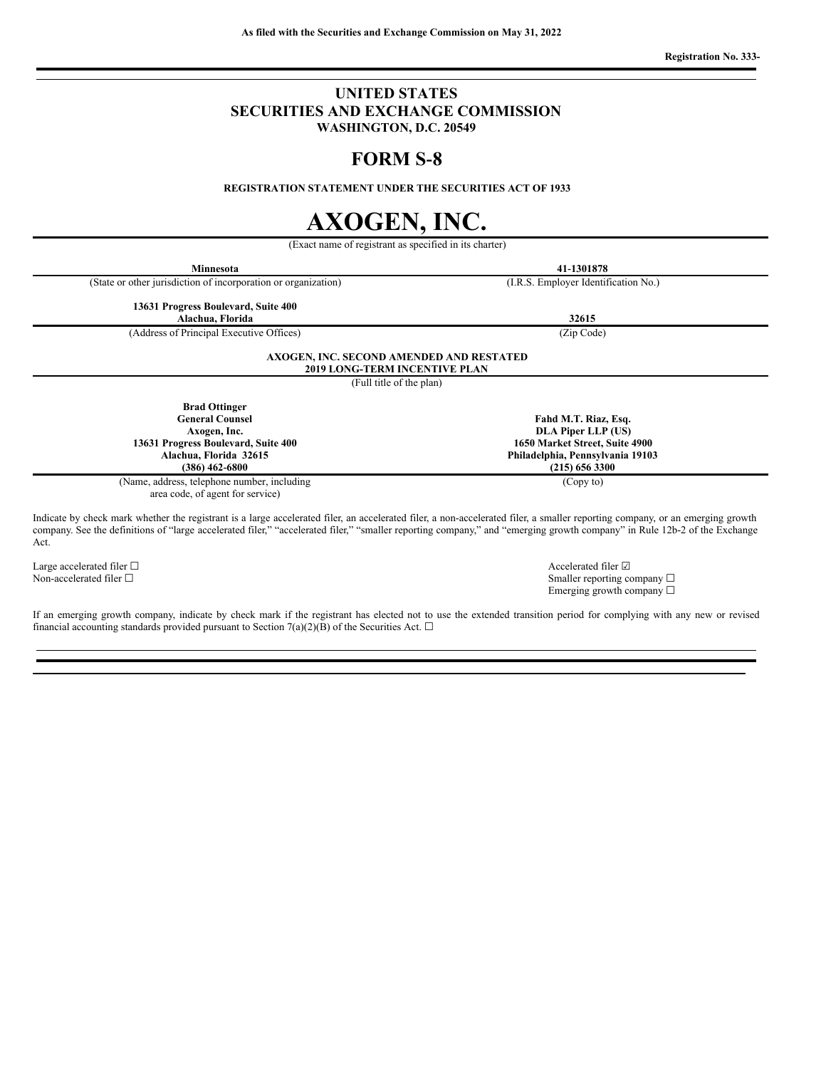### **UNITED STATES SECURITIES AND EXCHANGE COMMISSION WASHINGTON, D.C. 20549**

## **FORM S‑8**

**REGISTRATION STATEMENT UNDER THE SECURITIES ACT OF 1933**

# **AXOGEN, INC.**

(Exact name of registrant as specified in its charter)

**Minnesota 41‑1301878** (State or other jurisdiction of incorporation or organization) (I.R.S. Employer Identification No.)

**13631 Progress Boulevard, Suite 400**

(Address of Principal Executive Offices) (Zip Code)

**Alachua, Florida 32615**

**Fahd M.T. Riaz, Esq. DLA Piper LLP (US) 1650 Market Street, Suite 4900 Philadelphia, Pennsylvania 19103 (215) 656 3300**

(Copy to)

**AXOGEN, INC. SECOND AMENDED AND RESTATED 2019 LONG-TERM INCENTIVE PLAN**

(Full title of the plan)

**Brad Ottinger General Counsel Axogen, Inc. 13631 Progress Boulevard, Suite 400 Alachua, Florida 32615 (386) 462‑6800**

(Name, address, telephone number, including area code, of agent for service)

Indicate by check mark whether the registrant is a large accelerated filer, an accelerated filer, a non-accelerated filer, a smaller reporting company, or an emerging growth company. See the definitions of "large accelerated filer," "accelerated filer," "smaller reporting company," and "emerging growth company" in Rule 12b-2 of the Exchange Act.

Large accelerated filer □ accelerated filer □ accelerated filer □ accelerated filer □

Non-accelerated filer □ Smaller reporting company □ Emerging growth company  $\Box$ 

If an emerging growth company, indicate by check mark if the registrant has elected not to use the extended transition period for complying with any new or revised financial accounting standards provided pursuant to Section 7(a)(2)(B) of the Securities Act.  $\Box$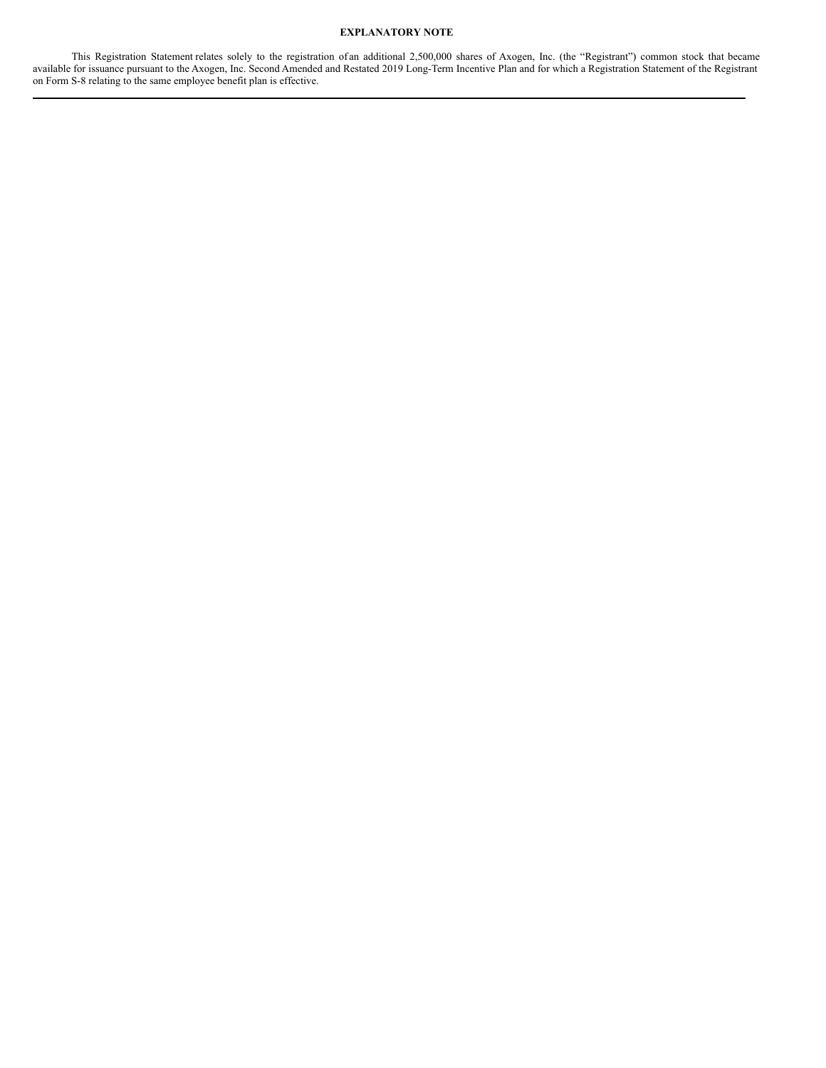#### **EXPLANATORY NOTE**

This Registration Statement relates solely to the registration of an additional 2,500,000 shares of Axogen, Inc. (the "Registrant") common stock that became available for issuance pursuant to the Axogen, Inc. Second Amended and Restated 2019 Long-Term Incentive Plan and for which a Registration Statement of the Registrant on Form S-8 relating to the same employee benefit plan is effective.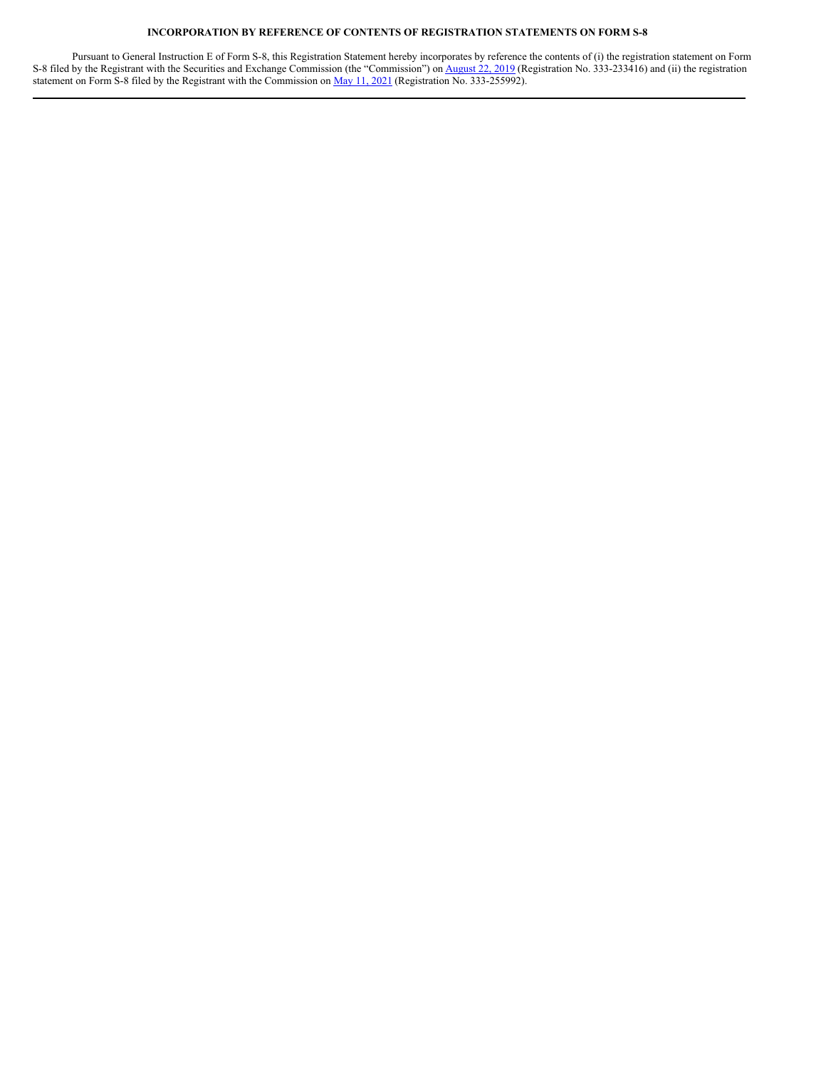#### **INCORPORATION BY REFERENCE OF CONTENTS OF REGISTRATION STATEMENTS ON FORM S-8**

Pursuant to General Instruction E of Form S-8, this Registration Statement hereby incorporates by reference the contents of (i) the registration statement on Form S-8 filed by the Registrant with the Securities and Exchange Commission (the "Commission") on [August](https://www.sec.gov/Archives/edgar/data/805928/000155837019008297/s-8.htm) 22, 2019 (Registration No. 333-233416) and (ii) the registration statement on Form S-8 filed by the Registrant with the Commission on May 11, [2021](https://www.sec.gov/Archives/edgar/data/805928/000119312521157043/d195760ds8.htm) (Registration No. 333-255992).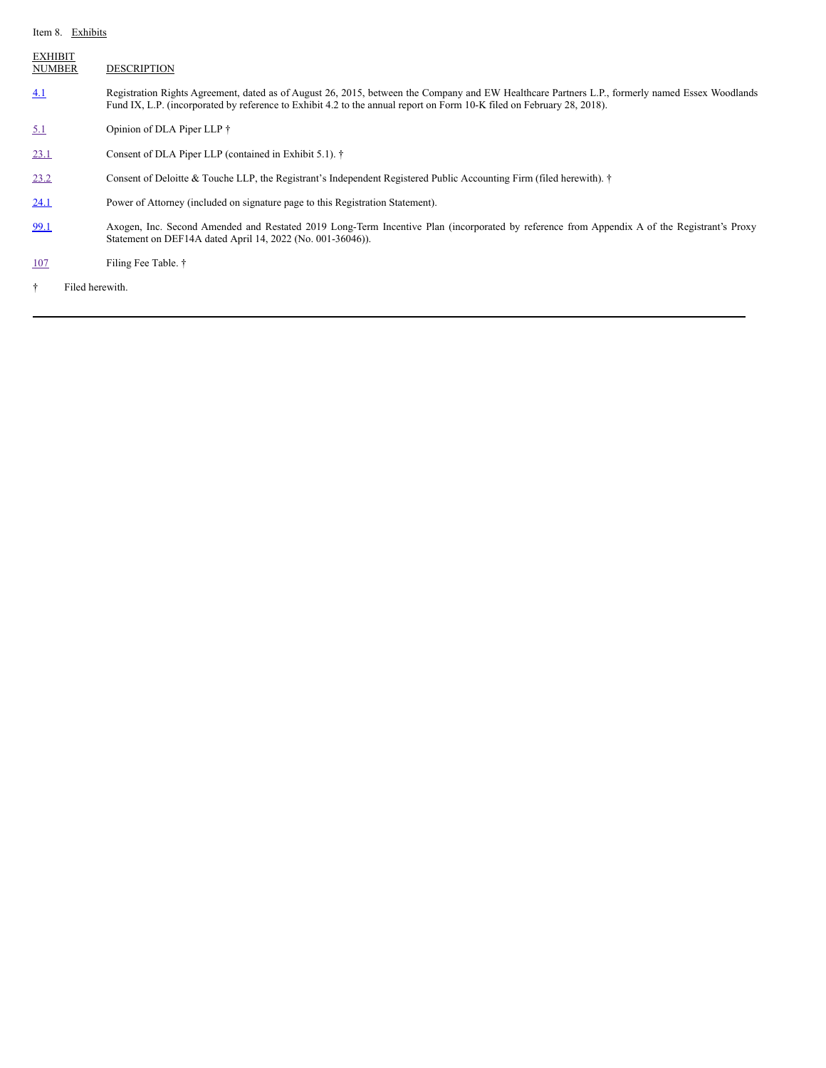#### Item 8. Exhibits

| <b>EXHIBIT</b><br><b>NUMBER</b> | <b>DESCRIPTION</b>                                                                                                                                                                                                                                                        |  |  |  |
|---------------------------------|---------------------------------------------------------------------------------------------------------------------------------------------------------------------------------------------------------------------------------------------------------------------------|--|--|--|
| 4.1                             | Registration Rights Agreement, dated as of August 26, 2015, between the Company and EW Healthcare Partners L.P., formerly named Essex Woodlands<br>Fund IX, L.P. (incorporated by reference to Exhibit 4.2 to the annual report on Form 10-K filed on February 28, 2018). |  |  |  |
| 5.1                             | Opinion of DLA Piper LLP †                                                                                                                                                                                                                                                |  |  |  |
| 23.1                            | Consent of DLA Piper LLP (contained in Exhibit 5.1). †                                                                                                                                                                                                                    |  |  |  |
| 23.2                            | Consent of Deloitte & Touche LLP, the Registrant's Independent Registered Public Accounting Firm (filed herewith). †                                                                                                                                                      |  |  |  |
| 24.1                            | Power of Attorney (included on signature page to this Registration Statement).                                                                                                                                                                                            |  |  |  |
| 99.1                            | Axogen, Inc. Second Amended and Restated 2019 Long-Term Incentive Plan (incorporated by reference from Appendix A of the Registrant's Proxy<br>Statement on DEF14A dated April 14, 2022 (No. 001-36046)).                                                                 |  |  |  |
| 107                             | Filing Fee Table. †                                                                                                                                                                                                                                                       |  |  |  |
| Filed herewith.<br>÷            |                                                                                                                                                                                                                                                                           |  |  |  |
|                                 |                                                                                                                                                                                                                                                                           |  |  |  |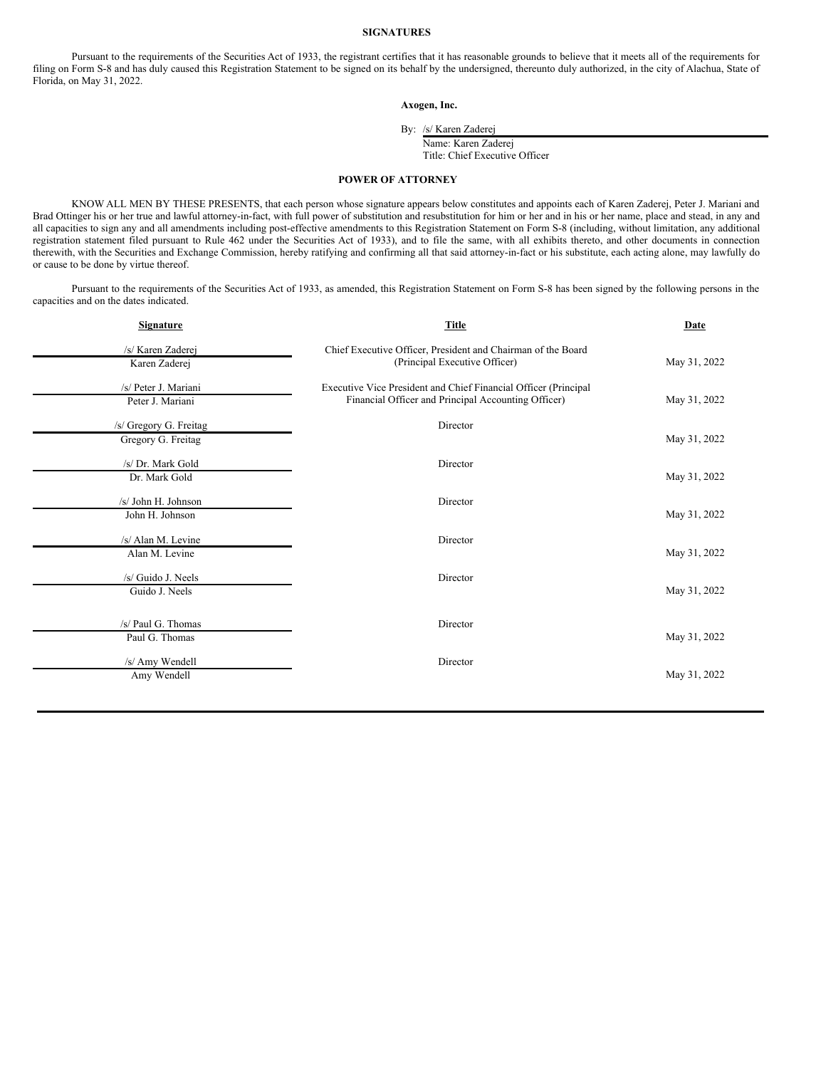#### **SIGNATURES**

Pursuant to the requirements of the Securities Act of 1933, the registrant certifies that it has reasonable grounds to believe that it meets all of the requirements for filing on Form S-8 and has duly caused this Registration Statement to be signed on its behalf by the undersigned, thereunto duly authorized, in the city of Alachua, State of Florida, on May 31, 2022.

**Axogen, Inc.**

By: /s/ Karen Zaderej

Name: Karen Zaderej Title: Chief Executive Officer

#### <span id="page-4-0"></span>**POWER OF ATTORNEY**

KNOW ALL MEN BY THESE PRESENTS, that each person whose signature appears below constitutes and appoints each of Karen Zaderej, Peter J. Mariani and Brad Ottinger his or her true and lawful attorney-in-fact, with full power of substitution and resubstitution for him or her and in his or her name, place and stead, in any and all capacities to sign any and all amendments including post-effective amendments to this Registration Statement on Form S-8 (including, without limitation, any additional registration statement filed pursuant to Rule 462 under the Securities Act of 1933), and to file the same, with all exhibits thereto, and other documents in connection therewith, with the Securities and Exchange Commission, hereby ratifying and confirming all that said attorney-in-fact or his substitute, each acting alone, may lawfully do or cause to be done by virtue thereof.

Pursuant to the requirements of the Securities Act of 1933, as amended, this Registration Statement on Form S-8 has been signed by the following persons in the capacities and on the dates indicated.

| <b>Signature</b>       | Title                                                                                         | Date         |
|------------------------|-----------------------------------------------------------------------------------------------|--------------|
| /s/ Karen Zaderej      | Chief Executive Officer, President and Chairman of the Board<br>(Principal Executive Officer) | May 31, 2022 |
| Karen Zaderej          |                                                                                               |              |
| /s/ Peter J. Mariani   | Executive Vice President and Chief Financial Officer (Principal                               |              |
| Peter J. Mariani       | Financial Officer and Principal Accounting Officer)                                           | May 31, 2022 |
| /s/ Gregory G. Freitag | Director                                                                                      |              |
| Gregory G. Freitag     |                                                                                               | May 31, 2022 |
| /s/ Dr. Mark Gold      | Director                                                                                      |              |
| Dr. Mark Gold          |                                                                                               | May 31, 2022 |
| /s/ John H. Johnson    | Director                                                                                      |              |
| John H. Johnson        |                                                                                               | May 31, 2022 |
| /s/ Alan M. Levine     | Director                                                                                      |              |
| Alan M. Levine         |                                                                                               | May 31, 2022 |
| /s/ Guido J. Neels     | Director                                                                                      |              |
| Guido J. Neels         |                                                                                               | May 31, 2022 |
|                        |                                                                                               |              |
| /s/ Paul G. Thomas     | Director                                                                                      |              |
| Paul G. Thomas         |                                                                                               | May 31, 2022 |
| /s/ Amy Wendell        | Director                                                                                      |              |
| Amy Wendell            |                                                                                               | May 31, 2022 |
|                        |                                                                                               |              |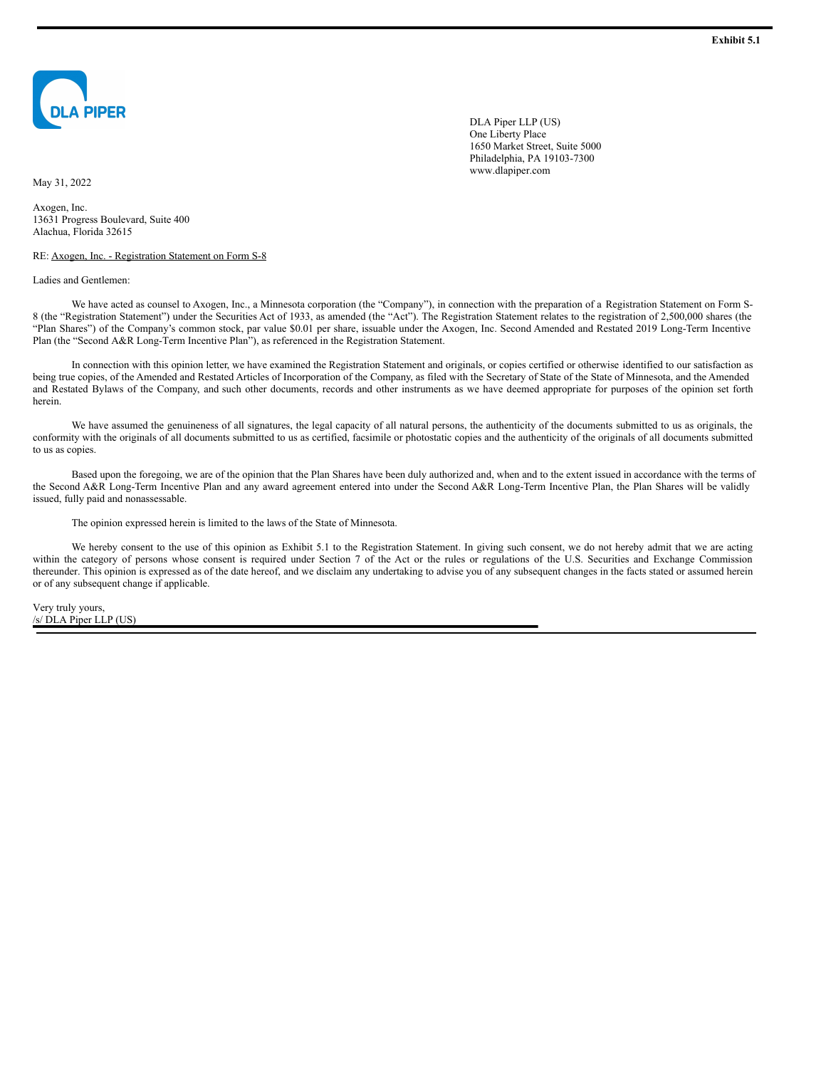<span id="page-5-0"></span>

DLA Piper LLP (US) One Liberty Place 1650 Market Street, Suite 5000 Philadelphia, PA 19103-7300 www.dlapiper.com

May 31, 2022

Axogen, Inc. 13631 Progress Boulevard, Suite 400 Alachua, Florida 32615

RE: Axogen, Inc. - Registration Statement on Form S-8

Ladies and Gentlemen:

We have acted as counsel to Axogen, Inc., a Minnesota corporation (the "Company"), in connection with the preparation of a Registration Statement on Form S-8 (the "Registration Statement") under the Securities Act of 1933, as amended (the "Act"). The Registration Statement relates to the registration of 2,500,000 shares (the "Plan Shares") of the Company's common stock, par value \$0.01 per share, issuable under the Axogen, Inc. Second Amended and Restated 2019 Long-Term Incentive Plan (the "Second A&R Long-Term Incentive Plan"), as referenced in the Registration Statement.

In connection with this opinion letter, we have examined the Registration Statement and originals, or copies certified or otherwise identified to our satisfaction as being true copies, of the Amended and Restated Articles of Incorporation of the Company, as filed with the Secretary of State of the State of Minnesota, and the Amended and Restated Bylaws of the Company, and such other documents, records and other instruments as we have deemed appropriate for purposes of the opinion set forth herein.

We have assumed the genuineness of all signatures, the legal capacity of all natural persons, the authenticity of the documents submitted to us as originals, the conformity with the originals of all documents submitted to us as certified, facsimile or photostatic copies and the authenticity of the originals of all documents submitted to us as copies.

Based upon the foregoing, we are of the opinion that the Plan Shares have been duly authorized and, when and to the extent issued in accordance with the terms of the Second A&R Long-Term Incentive Plan and any award agreement entered into under the Second A&R Long-Term Incentive Plan, the Plan Shares will be validly issued, fully paid and nonassessable.

The opinion expressed herein is limited to the laws of the State of Minnesota.

We hereby consent to the use of this opinion as Exhibit 5.1 to the Registration Statement. In giving such consent, we do not hereby admit that we are acting within the category of persons whose consent is required under Section 7 of the Act or the rules or regulations of the U.S. Securities and Exchange Commission thereunder. This opinion is expressed as of the date hereof, and we disclaim any undertaking to advise you of any subsequent changes in the facts stated or assumed herein or of any subsequent change if applicable.

Very truly yours, /s/ DLA Piper LLP (US)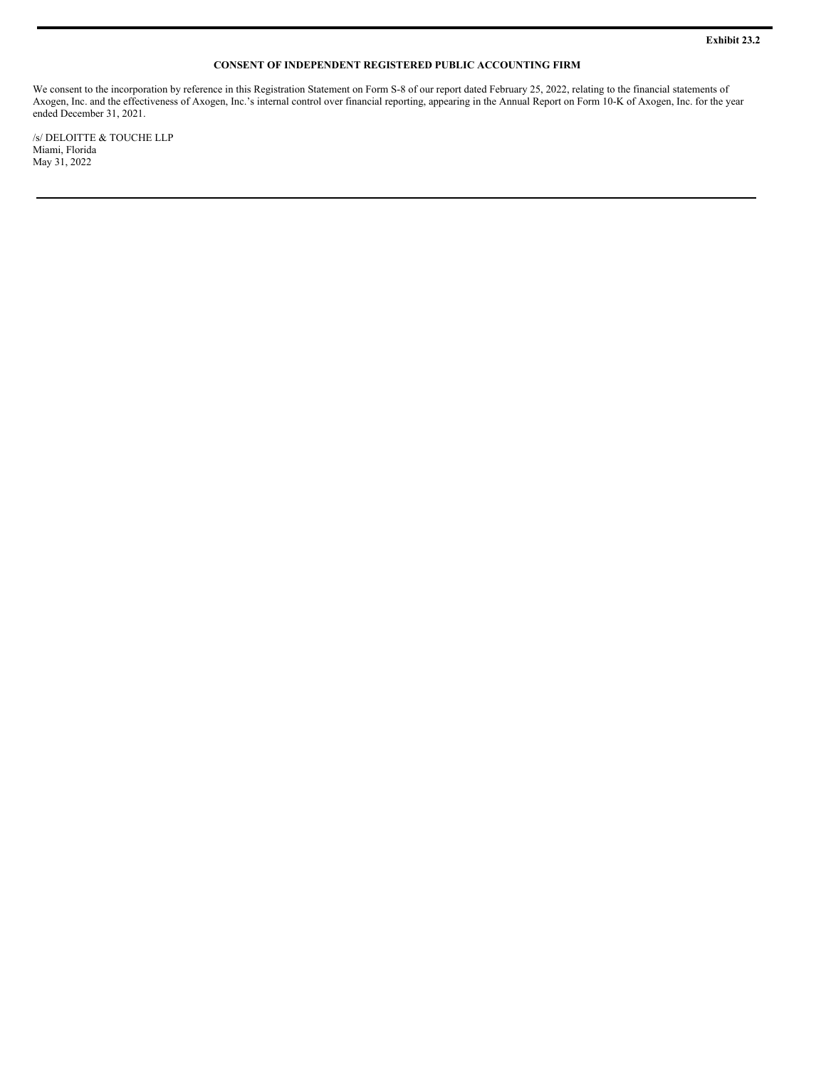#### **CONSENT OF INDEPENDENT REGISTERED PUBLIC ACCOUNTING FIRM**

<span id="page-6-0"></span>We consent to the incorporation by reference in this Registration Statement on Form S-8 of our report dated February 25, 2022, relating to the financial statements of Axogen, Inc. and the effectiveness of Axogen, Inc.'s internal control over financial reporting, appearing in the Annual Report on Form 10-K of Axogen, Inc. for the year ended December 31, 2021.

/s/  $\!$  DELOITTE  $\&$  TOUCHE LLP Miami, Florida May 31, 2022